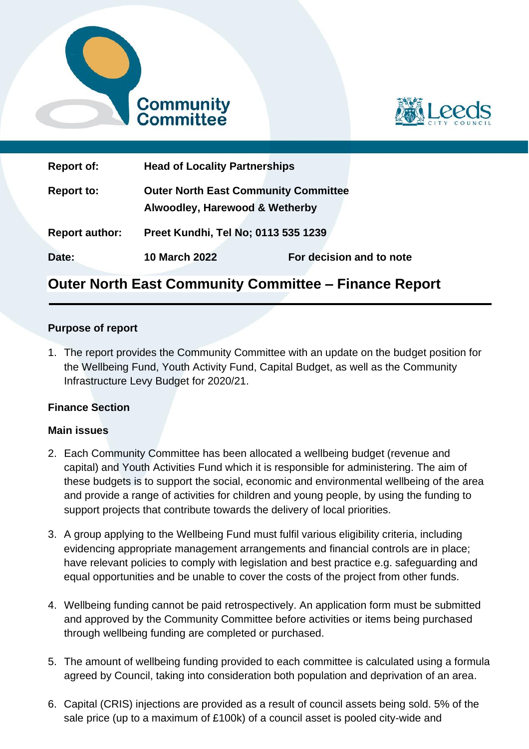



| <b>Report of:</b>     | <b>Head of Locality Partnerships</b>                                          |                          |
|-----------------------|-------------------------------------------------------------------------------|--------------------------|
| <b>Report to:</b>     | <b>Outer North East Community Committee</b><br>Alwoodley, Harewood & Wetherby |                          |
| <b>Report author:</b> | Preet Kundhi, Tel No; 0113 535 1239                                           |                          |
| Date:                 | <b>10 March 2022</b>                                                          | For decision and to note |

# **Outer North East Community Committee – Finance Report**

#### **Purpose of report**

1. The report provides the Community Committee with an update on the budget position for the Wellbeing Fund, Youth Activity Fund, Capital Budget, as well as the Community Infrastructure Levy Budget for 2020/21.

#### **Finance Section**

#### **Main issues**

- 2. Each Community Committee has been allocated a wellbeing budget (revenue and capital) and Youth Activities Fund which it is responsible for administering. The aim of these budgets is to support the social, economic and environmental wellbeing of the area and provide a range of activities for children and young people, by using the funding to support projects that contribute towards the delivery of local priorities.
- 3. A group applying to the Wellbeing Fund must fulfil various eligibility criteria, including evidencing appropriate management arrangements and financial controls are in place; have relevant policies to comply with legislation and best practice e.g. safeguarding and equal opportunities and be unable to cover the costs of the project from other funds.
- 4. Wellbeing funding cannot be paid retrospectively. An application form must be submitted and approved by the Community Committee before activities or items being purchased through wellbeing funding are completed or purchased.
- 5. The amount of wellbeing funding provided to each committee is calculated using a formula agreed by Council, taking into consideration both population and deprivation of an area.
- 6. Capital (CRIS) injections are provided as a result of council assets being sold. 5% of the sale price (up to a maximum of £100k) of a council asset is pooled city-wide and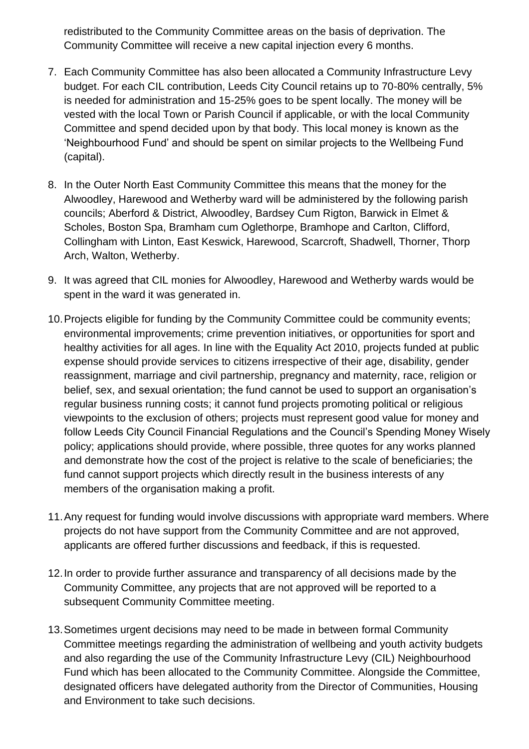redistributed to the Community Committee areas on the basis of deprivation. The Community Committee will receive a new capital injection every 6 months.

- 7. Each Community Committee has also been allocated a Community Infrastructure Levy budget. For each CIL contribution, Leeds City Council retains up to 70-80% centrally, 5% is needed for administration and 15-25% goes to be spent locally. The money will be vested with the local Town or Parish Council if applicable, or with the local Community Committee and spend decided upon by that body. This local money is known as the 'Neighbourhood Fund' and should be spent on similar projects to the Wellbeing Fund (capital).
- 8. In the Outer North East Community Committee this means that the money for the Alwoodley, Harewood and Wetherby ward will be administered by the following parish councils; Aberford & District, Alwoodley, Bardsey Cum Rigton, Barwick in Elmet & Scholes, Boston Spa, Bramham cum Oglethorpe, Bramhope and Carlton, Clifford, Collingham with Linton, East Keswick, Harewood, Scarcroft, Shadwell, Thorner, Thorp Arch, Walton, Wetherby.
- 9. It was agreed that CIL monies for Alwoodley, Harewood and Wetherby wards would be spent in the ward it was generated in.
- 10.Projects eligible for funding by the Community Committee could be community events; environmental improvements; crime prevention initiatives, or opportunities for sport and healthy activities for all ages. In line with the Equality Act 2010, projects funded at public expense should provide services to citizens irrespective of their age, disability, gender reassignment, marriage and civil partnership, pregnancy and maternity, race, religion or belief, sex, and sexual orientation; the fund cannot be used to support an organisation's regular business running costs; it cannot fund projects promoting political or religious viewpoints to the exclusion of others; projects must represent good value for money and follow Leeds City Council Financial Regulations and the Council's Spending Money Wisely policy; applications should provide, where possible, three quotes for any works planned and demonstrate how the cost of the project is relative to the scale of beneficiaries; the fund cannot support projects which directly result in the business interests of any members of the organisation making a profit.
- 11.Any request for funding would involve discussions with appropriate ward members. Where projects do not have support from the Community Committee and are not approved, applicants are offered further discussions and feedback, if this is requested.
- 12.In order to provide further assurance and transparency of all decisions made by the Community Committee, any projects that are not approved will be reported to a subsequent Community Committee meeting.
- 13.Sometimes urgent decisions may need to be made in between formal Community Committee meetings regarding the administration of wellbeing and youth activity budgets and also regarding the use of the Community Infrastructure Levy (CIL) Neighbourhood Fund which has been allocated to the Community Committee. Alongside the Committee, designated officers have delegated authority from the Director of Communities, Housing and Environment to take such decisions.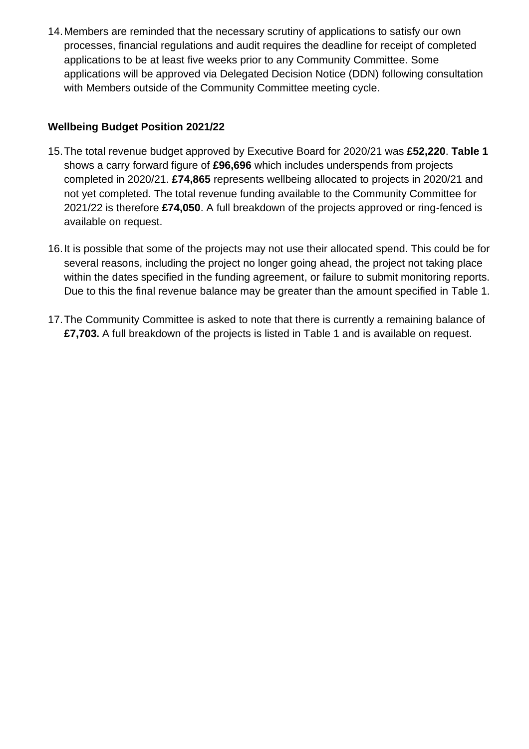14.Members are reminded that the necessary scrutiny of applications to satisfy our own processes, financial regulations and audit requires the deadline for receipt of completed applications to be at least five weeks prior to any Community Committee. Some applications will be approved via Delegated Decision Notice (DDN) following consultation with Members outside of the Community Committee meeting cycle.

## **Wellbeing Budget Position 2021/22**

- 15.The total revenue budget approved by Executive Board for 2020/21 was **£52,220**. **Table 1** shows a carry forward figure of **£96,696** which includes underspends from projects completed in 2020/21. **£74,865** represents wellbeing allocated to projects in 2020/21 and not yet completed. The total revenue funding available to the Community Committee for 2021/22 is therefore **£74,050**. A full breakdown of the projects approved or ring-fenced is available on request.
- 16.It is possible that some of the projects may not use their allocated spend. This could be for several reasons, including the project no longer going ahead, the project not taking place within the dates specified in the funding agreement, or failure to submit monitoring reports. Due to this the final revenue balance may be greater than the amount specified in Table 1.
- 17.The Community Committee is asked to note that there is currently a remaining balance of **£7,703.** A full breakdown of the projects is listed in Table 1 and is available on request.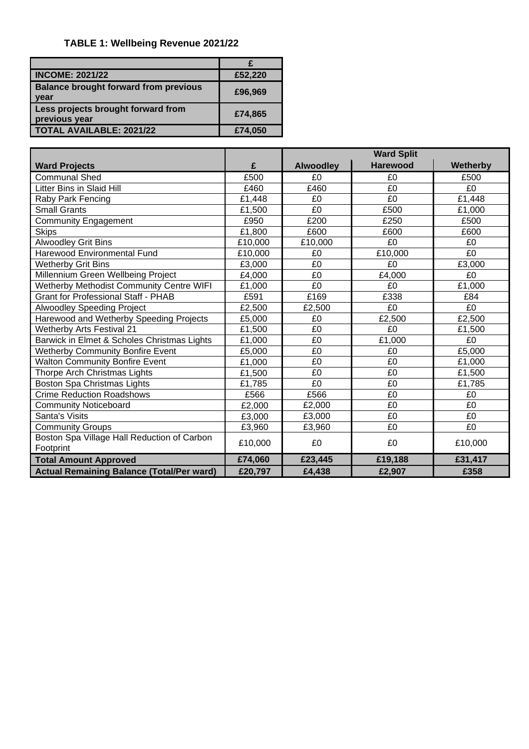## **TABLE 1: Wellbeing Revenue 2021/22**

| <b>INCOME: 2021/22</b>                               | £52,220 |
|------------------------------------------------------|---------|
| <b>Balance brought forward from previous</b><br>year | £96,969 |
| Less projects brought forward from<br>previous year  | £74,865 |
| <b>TOTAL AVAILABLE: 2021/22</b>                      | £74,050 |

|                                                  |         | <b>Ward Split</b> |                 |                |
|--------------------------------------------------|---------|-------------------|-----------------|----------------|
| <b>Ward Projects</b>                             | £       | <b>Alwoodley</b>  | <b>Harewood</b> | Wetherby       |
| <b>Communal Shed</b>                             | £500    | £0                | £0              | £500           |
| <b>Litter Bins in Slaid Hill</b>                 | £460    | £460              | £0              | £0             |
| Raby Park Fencing                                | £1,448  | £0                | £0              | £1,448         |
| <b>Small Grants</b>                              | £1,500  | £0                | £500            | £1,000         |
| <b>Community Engagement</b>                      | £950    | £200              | £250            | £500           |
| <b>Skips</b>                                     | £1,800  | £600              | £600            | £600           |
| Alwoodley Grit Bins                              | £10,000 | £10,000           | £0              | £0             |
| Harewood Environmental Fund                      | £10,000 | £0                | £10,000         | £0             |
| <b>Wetherby Grit Bins</b>                        | £3,000  | £0                | £0              | £3,000         |
| Millennium Green Wellbeing Project               | £4,000  | £0                | £4,000          | £0             |
| <b>Wetherby Methodist Community Centre WIFI</b>  | £1,000  | £0                | £0              | £1,000         |
| <b>Grant for Professional Staff - PHAB</b>       | £591    | £169              | £338            | £84            |
| <b>Alwoodley Speeding Project</b>                | £2,500  | £2,500            | £0              | £0             |
| Harewood and Wetherby Speeding Projects          | £5,000  | £0                | £2,500          | £2,500         |
| <b>Wetherby Arts Festival 21</b>                 | £1,500  | £0                | £0              | £1,500         |
| Barwick in Elmet & Scholes Christmas Lights      | £1,000  | £0                | £1,000          | £0             |
| <b>Wetherby Community Bonfire Event</b>          | £5,000  | £0                | £0              | £5,000         |
| <b>Walton Community Bonfire Event</b>            | £1,000  | £0                | £0              | £1,000         |
| Thorpe Arch Christmas Lights                     | £1,500  | £0                | £0              | £1,500         |
| Boston Spa Christmas Lights                      | £1,785  | £0                | £0              | £1,785         |
| <b>Crime Reduction Roadshows</b>                 | £566    | £566              | £0              | £0             |
| <b>Community Noticeboard</b>                     | £2.000  | £2,000            | £0              | £0             |
| Santa's Visits                                   | £3,000  | £3,000            | £0              | E <sub>0</sub> |
| <b>Community Groups</b>                          | £3,960  | £3,960            | £0              | £0             |
| Boston Spa Village Hall Reduction of Carbon      | £10,000 | £0                | £0              | £10,000        |
| Footprint                                        |         |                   |                 |                |
| <b>Total Amount Approved</b>                     | £74,060 | £23,445           | £19,188         | £31,417        |
| <b>Actual Remaining Balance (Total/Per ward)</b> | £20,797 | £4,438            | £2,907          | £358           |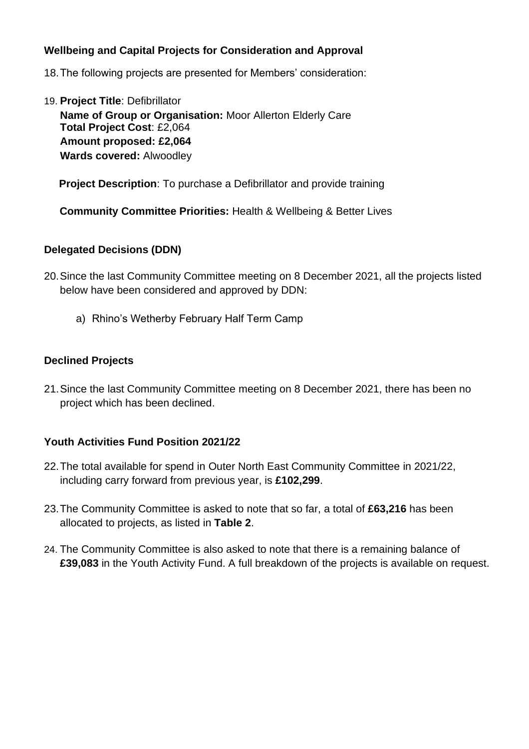### **Wellbeing and Capital Projects for Consideration and Approval**

18.The following projects are presented for Members' consideration:

19. **Project Title**: Defibrillator **Name of Group or Organisation:** Moor Allerton Elderly Care **Total Project Cost**: £2,064 **Amount proposed: £2,064 Wards covered:** Alwoodley

 **Project Description**: To purchase a Defibrillator and provide training

**Community Committee Priorities:** Health & Wellbeing & Better Lives

#### **Delegated Decisions (DDN)**

- 20.Since the last Community Committee meeting on 8 December 2021, all the projects listed below have been considered and approved by DDN:
	- a) Rhino's Wetherby February Half Term Camp

#### **Declined Projects**

21.Since the last Community Committee meeting on 8 December 2021, there has been no project which has been declined.

#### **Youth Activities Fund Position 2021/22**

- 22.The total available for spend in Outer North East Community Committee in 2021/22, including carry forward from previous year, is **£102,299**.
- 23.The Community Committee is asked to note that so far, a total of **£63,216** has been allocated to projects, as listed in **Table 2**.
- 24. The Community Committee is also asked to note that there is a remaining balance of **£39,083** in the Youth Activity Fund. A full breakdown of the projects is available on request.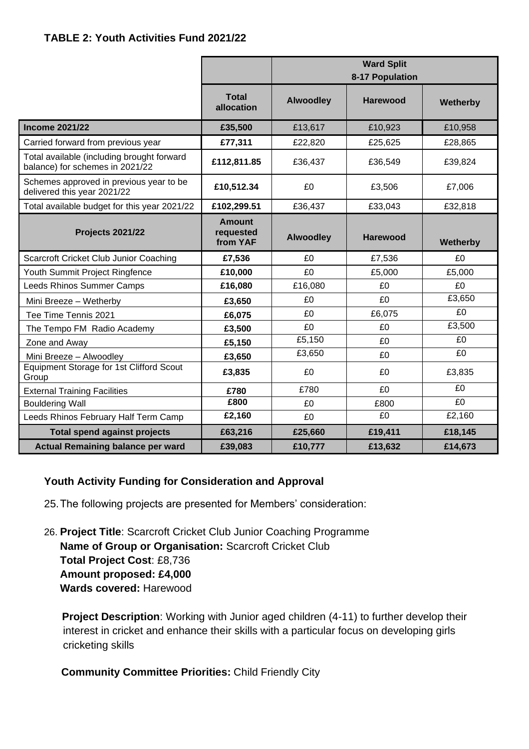|                                                                               |                                        | <b>Ward Split</b><br>8-17 Population |                 |                 |
|-------------------------------------------------------------------------------|----------------------------------------|--------------------------------------|-----------------|-----------------|
|                                                                               | <b>Total</b><br>allocation             | <b>Alwoodley</b>                     | Harewood        | Wetherby        |
| <b>Income 2021/22</b>                                                         | £35,500                                | £13,617                              | £10,923         | £10,958         |
| Carried forward from previous year                                            | £77,311                                | £22,820                              | £25,625         | £28,865         |
| Total available (including brought forward<br>balance) for schemes in 2021/22 | £112,811.85                            | £36,437                              | £36,549         | £39,824         |
| Schemes approved in previous year to be<br>delivered this year 2021/22        | £10,512.34                             | £0                                   | £3,506          | £7,006          |
| Total available budget for this year 2021/22                                  | £102,299.51                            | £36,437                              | £33,043         | £32,818         |
| <b>Projects 2021/22</b>                                                       | <b>Amount</b><br>requested<br>from YAF | <b>Alwoodley</b>                     | <b>Harewood</b> | <b>Wetherby</b> |
| Scarcroft Cricket Club Junior Coaching                                        | £7,536                                 | £0                                   | £7,536          | £0              |
| Youth Summit Project Ringfence                                                | £10,000                                | £0                                   | £5,000          | £5,000          |
| Leeds Rhinos Summer Camps                                                     | £16,080                                | £16,080                              | £0              | £0              |
| Mini Breeze - Wetherby                                                        | £3,650                                 | £0                                   | £0              | £3,650          |
| Tee Time Tennis 2021                                                          | £6,075                                 | £0                                   | £6,075          | £0              |
| The Tempo FM Radio Academy                                                    | £3,500                                 | £0                                   | £0              | £3,500          |
| Zone and Away                                                                 | £5,150                                 | £5,150                               | £0              | £0              |
| Mini Breeze - Alwoodley                                                       | £3,650                                 | £3,650                               | £0              | £0              |
| Equipment Storage for 1st Clifford Scout<br>Group                             | £3,835                                 | £0                                   | £0              | £3,835          |
| <b>External Training Facilities</b>                                           | £780                                   | £780                                 | £0              | £0              |
| <b>Bouldering Wall</b>                                                        | £800                                   | £0                                   | £800            | £0              |
| Leeds Rhinos February Half Term Camp                                          | £2,160                                 | £0                                   | £0              | £2,160          |
| <b>Total spend against projects</b>                                           | £63,216                                | £25,660                              | £19,411         | £18,145         |
| <b>Actual Remaining balance per ward</b>                                      | £39,083                                | £10,777                              | £13,632         | £14,673         |

#### **Youth Activity Funding for Consideration and Approval**

25.The following projects are presented for Members' consideration:

26. **Project Title**: Scarcroft Cricket Club Junior Coaching Programme **Name of Group or Organisation:** Scarcroft Cricket Club **Total Project Cost**: £8,736 **Amount proposed: £4,000 Wards covered:** Harewood

**Project Description:** Working with Junior aged children (4-11) to further develop their interest in cricket and enhance their skills with a particular focus on developing girls cricketing skills

 **Community Committee Priorities:** Child Friendly City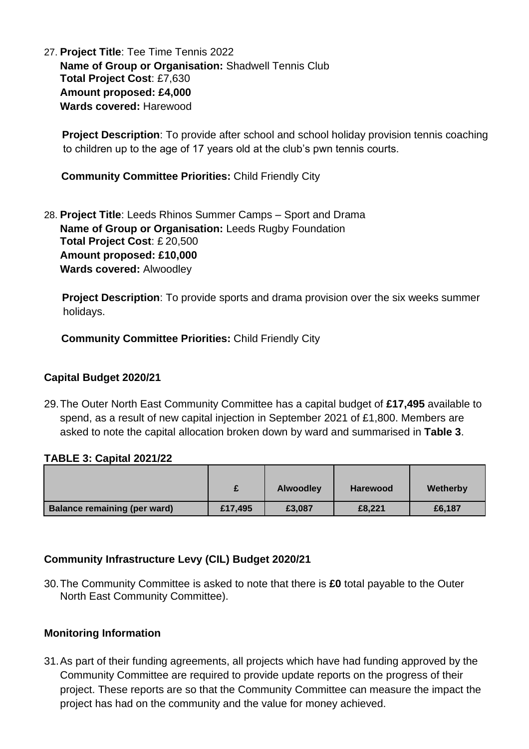27. **Project Title**: Tee Time Tennis 2022 **Name of Group or Organisation:** Shadwell Tennis Club **Total Project Cost**: £7,630 **Amount proposed: £4,000 Wards covered:** Harewood

**Project Description**: To provide after school and school holiday provision tennis coaching to children up to the age of 17 years old at the club's pwn tennis courts.

 **Community Committee Priorities:** Child Friendly City

28. **Project Title**: Leeds Rhinos Summer Camps – Sport and Drama **Name of Group or Organisation:** Leeds Rugby Foundation **Total Project Cost**: £ 20,500 **Amount proposed: £10,000 Wards covered:** Alwoodley

**Project Description**: To provide sports and drama provision over the six weeks summer holidays.

 **Community Committee Priorities:** Child Friendly City

## **Capital Budget 2020/21**

29.The Outer North East Community Committee has a capital budget of **£17,495** available to spend, as a result of new capital injection in September 2021 of £1,800. Members are asked to note the capital allocation broken down by ward and summarised in **Table 3**.

#### **TABLE 3: Capital 2021/22**

|                                     |         | <b>Alwoodley</b> | <b>Harewood</b> | Wetherby |
|-------------------------------------|---------|------------------|-----------------|----------|
| <b>Balance remaining (per ward)</b> | £17,495 | £3,087           | £8,221          | £6,187   |

#### **Community Infrastructure Levy (CIL) Budget 2020/21**

30.The Community Committee is asked to note that there is **£0** total payable to the Outer North East Community Committee).

#### **Monitoring Information**

31.As part of their funding agreements, all projects which have had funding approved by the Community Committee are required to provide update reports on the progress of their project. These reports are so that the Community Committee can measure the impact the project has had on the community and the value for money achieved.